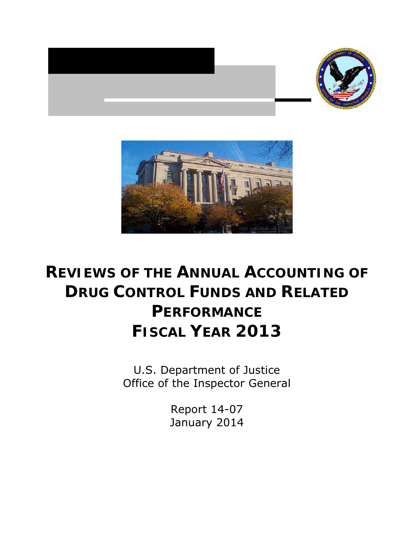



## **REVIEWS OF THE ANNUAL ACCOUNTING OF DRUG CONTROL FUNDS AND RELATED PERFORMANCE FISCAL YEAR 2013**

 Office of the Inspector General U.S. Department of Justice

> Report 14-07 January 2014